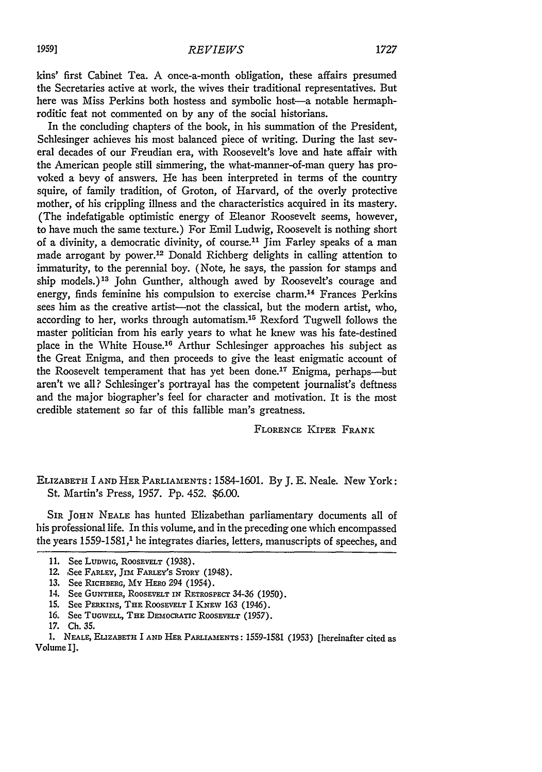kins' first Cabinet Tea. A once-a-month obligation, these affairs presumed the Secretaries active at work, the wives their traditional representatives. But here was Miss Perkins both hostess and symbolic host-a notable hermaphroditic feat not commented on by any of the social historians.

In the concluding chapters of the book, in his summation of the President, Schlesinger achieves his most balanced piece of writing. During the last several decades of our Freudian era, with Roosevelt's love and hate affair with the American people still simmering, the what-manner-of-man query has provoked a bevy of answers. He has been interpreted in terms of the country squire, of family tradition, of Groton, of Harvard, of the overly protective mother, of his crippling illness and the characteristics acquired in its mastery. (The indefatigable optimistic energy of Eleanor Roosevelt seems, however, to have much the same texture.) For Emil Ludwig, Roosevelt is nothing short of a divinity, a democratic divinity, of course.<sup>11</sup> Jim Farley speaks of a man made arrogant by power.<sup>12</sup> Donald Richberg delights in calling attention to immaturity, to the perennial boy. (Note, he says, the passion for stamps and ship models.)<sup>13</sup> John Gunther, although awed by Roosevelt's courage and energy, finds feminine his compulsion to exercise charm.<sup>14</sup> Frances Perkins sees him as the creative artist-not the classical, but the modern artist, who, according to her, works through automatism.<sup>15</sup> Rexford Tugwell follows the master politician from his early years to what he knew was his fate-destined place in the White House.<sup>16</sup> Arthur Schlesinger approaches his subject as the Great Enigma, and then proceeds to give the least enigmatic account of the Roosevelt temperament that has yet been done.<sup>17</sup> Enigma, perhaps--but aren't we all? Schlesinger's portrayal has the competent journalist's deftness and the major biographer's feel for character and motivation. It is the most credible statement so far of this fallible man's greatness.

FLORENCE KIPER FRANK

ELIZABETH I AND HER PARLIAMENTS: 1584-1601. By J. E. Neale. New York: St. Martin's Press, 1957. Pp. 452. \$6.00.

SIR JOHN NEALE has hunted Elizabethan parliamentary documents all of his professional life. In this volume, and in the preceding one which encompassed the years 1559-1581,<sup>1</sup> he integrates diaries, letters, manuscripts of speeches, and

**<sup>11.</sup>** See **LUDWiG,** ROOSEvELT (1938).

<sup>12.</sup> See **FARLEY,** JIM FARLEY's STORY (1948).

*<sup>13.</sup>* See **RicHBERG,** My HERO 294 (1954).

<sup>14.</sup> See **GUNTHER,** ROOsEVELT **IN** RETROSPECT 34-36 (1950).

<sup>15.</sup> See **PERKINS,** THE ROOSEVELT I **KNEW** 163 (1946).

<sup>16.</sup> See TUGWELL, THE DEMOCRATIC ROOSEVELT (1957).

<sup>17.</sup> **Ch. 35.**

**<sup>1.</sup> NEALE,** ELIZABETH I **AND** HER PARLIAMENTS: 1559-1581 (1953) [hereinafter cited as Volume **I].**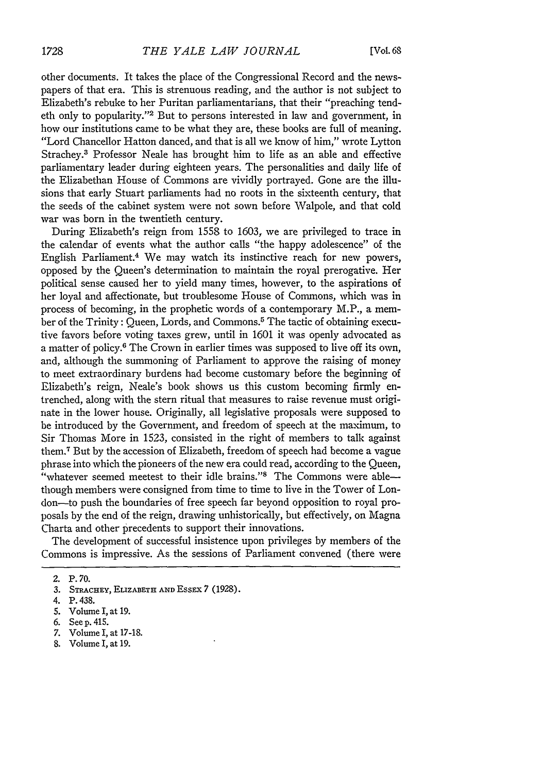other documents. It takes the place of the Congressional Record and the newspapers of that era. This is strenuous reading, and the author is not subject to Elizabeth's rebuke to her Puritan parliamentarians, that their "preaching tendeth only to popularity."2 But to persons interested in law and government, in how our institutions came to be what they are, these books are full of meaning. "Lord Chancellor Hatton danced, and that is all we know of him," wrote Lytton Strachey.3 Professor Neale has brought him to life as an able and effective parliamentary leader during eighteen years. The personalities and daily life of the Elizabethan House of Commons are vividly portrayed. Gone are the illusions that early Stuart parliaments had no roots in the sixteenth century, that the seeds of the cabinet system were not sown before Walpole, and that cold war was born in the twentieth century.

During Elizabeth's reign from 1558 to 1603, we are privileged to trace in the calendar of events what the author calls "the happy adolescence" of the English Parliament.<sup>4</sup> We may watch its instinctive reach for new powers, opposed **by** the Queen's determination to maintain the royal prerogative. Her political sense caused her to yield many times, however, to the aspirations of her loyal and affectionate, but troublesome House of Commons, which was in process of becoming, in the prophetic words of a contemporary M.P., a member of the Trinity: Queen, Lords, and Commons.<sup>5</sup> The tactic of obtaining executive favors before voting taxes grew, until in 1601 it was openly advocated as a matter of policy.6 The Crown in earlier times was supposed to live off its own, and, although the summoning of Parliament to approve the raising of money to meet extraordinary burdens had become customary before the beginning of Elizabeth's reign, Neale's book shows us this custom becoming firmly entrenched, along with the stern ritual that measures to raise revenue must originate in the lower house. Originally, all legislative proposals were supposed to be introduced **by** the Government, and freedom of speech at the maximum, to Sir Thomas More in 1523, consisted in the right of members to talk against them. 7 But **by** the accession of Elizabeth, freedom of speech had become a vague phrase into which the pioneers of the new era could read, according to the Queen, "whatever seemed meetest to their idle brains."<sup>8</sup> The Commons were ablethough members were consigned from time to time to live in the Tower of London-to push the boundaries of free speech far beyond opposition to royal proposals **by** the end of the reign, drawing unhistorically, but effectively, on Magna Charta and other precedents to support their innovations.

The development of successful insistence upon privileges **by** members of the Commons is impressive. As the sessions of Parliament convened (there were

- 7. Volume I, at 17-18.
- 8. Volume **1,** at **19.**

<sup>2.</sup> P.70.

**<sup>3.</sup>** STRACHEY, ELIZABETH **AND** EssEx 7 (1928).

<sup>4.</sup> P. 438.

**<sup>5.</sup>** Volume *I,* at **19.**

<sup>6.</sup> See p. 415.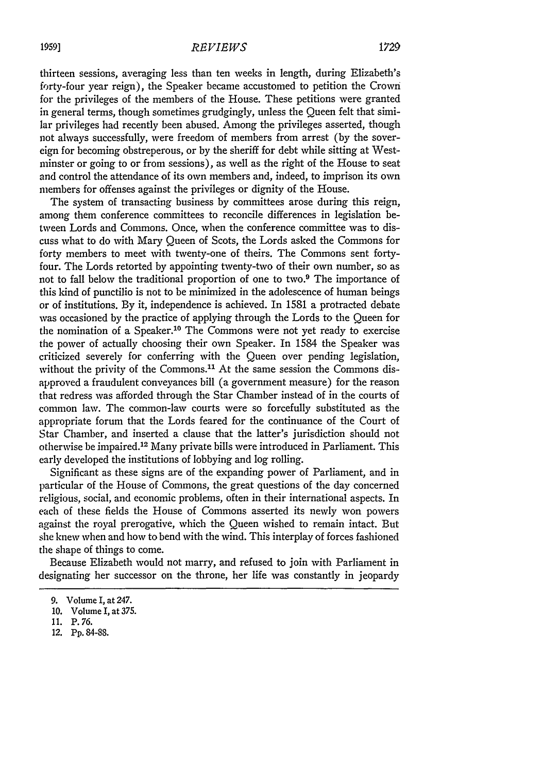thirteen sessions, averaging less than ten weeks in length, during Elizabeth's forty-four year reign), the Speaker became accustomed to petition the Crown for the privileges of the members of the House. These petitions were granted in general terms, though sometimes grudgingly, unless the Queen felt that similar privileges had recently been abused. Among the privileges asserted, though not always successfully, were freedom of members from arrest (by the sovereign for becoming obstreperous, or by the sheriff for debt while sitting at Westminster or going to or from sessions), as well as the right of the House to seat and control the attendance of its own members and, indeed, to imprison its own members for offenses against the privileges or dignity of the House.

The system of transacting business by committees arose during this reign, among them conference committees to reconcile differences in legislation between Lords and Commons. Once, when the conference committee was to discuss what to do with Mary Queen of Scots, the Lords asked the Commons for forty members to meet with twenty-one of theirs. The Commons sent fortyfour. The Lords retorted by appointing twenty-two of their own number, so as not to fall below the traditional proportion of one to two.9 The importance of this kind of punctilio is not to be minimized in the adolescence of human beings or of institutions. By it, independence is achieved. In 1581 a protracted debate was occasioned by the practice of applying through the Lords to the Queen for the nomination of a Speaker.<sup>10</sup> The Commons were not yet ready to exercise the power of actually choosing their own Speaker. In 1584 the Speaker was criticized severely for conferring with the Queen over pending legislation, without the privity of the Commons.<sup>11</sup> At the same session the Commons disapproved a fraudulent conveyances bill (a government measure) for the reason that redress was afforded through the Star Chamber instead of in the courts of common law. The common-law courts were so forcefully substituted as the appropriate forum that the Lords feared for the continuance of the Court of Star Chamber, and inserted a clause that the latter's jurisdiction should not otherwise be impaired. 12 Many private bills were introduced in Parliament. This early developed the institutions of lobbying and log rolling.

Significant as these signs are of the expanding power of Parliament, and in particular of the House of Commons, the great questions of the day concerned religious, social, and economic problems, often in their international aspects. In each of these fields the House of Commons asserted its newly won powers against the royal prerogative, which the Queen wished to remain intact. But she knew when and how to bend with the wind. This interplay of forces fashioned the shape of things to come.

Because Elizabeth would not marry, and refused to join with Parliament in designating her successor on the throne, her life was constantly in jeopardy

<sup>9.</sup> Volume I, at 247.

<sup>10.</sup> Volume I, at 375.

<sup>11.</sup> P. 76.

<sup>12.</sup> **Pp.** 84-88.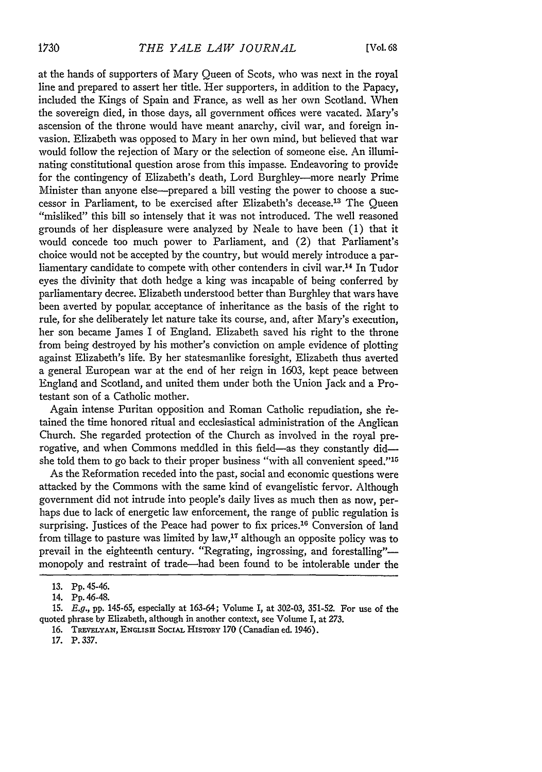at the hands of supporters of Mary Queen of Scots, who was next in the royal line and prepared to assert her title. Her supporters, in addition to the Papacy, included the Kings of Spain and France, as well as her own Scotland. When the sovereign died, in those days, all government offices were vacated. Mary's ascension of the throne would have meant anarchy, civil war, and foreign invasion. Elizabeth was opposed to Mary in her own mind, but believed that war would follow the rejection of Mary or the selection of someone else. An illuminating constitutional question arose from this impasse. Endeavoring to provide for the contingency of Elizabeth's death, Lord Burghley-more nearly Prime Minister than anyone else--prepared a bill vesting the power to choose a successor in Parliament, to be exercised after Elizabeth's decease.<sup>13</sup> The Queen "misliked" this bill so intensely that it was not introduced. The well reasoned grounds of her displeasure were analyzed by Neale to have been (1) that it would concede too much power to Parliament, and (2) that Parliament's choice would not be accepted by the country, but would merely introduce a parliamentary candidate to compete with other contenders in civil war.14 In Tudor eyes the divinity that doth hedge a king was incapable of being conferred by parliamentary decree. Elizabeth understood better than Burghley that wars have been averted by popular: acceptance of inheritance as the basis of the right to rule, for she deliberately let nature take its course, and, after Mary's execution, her son became James I of England. Elizabeth saved his right to the throne from being destroyed by his mother's conviction on ample evidence of plotting against Elizabeth's life. By her statesmanlike foresight, Elizabeth thus averted a general European war at the end of her reign in 1603, kept peace between England and Scotland, and united them under both the Union Jack and a Protestant son of a Catholic mother.

Again intense Puritan opposition and Roman Catholic repudiation, she retained the time honored ritual and ecclesiastical administration of the Anglican Church. She regarded protection of the Church as involved in the royal prerogative, and when Commons meddled in this field-as they constantly didshe told them to go back to their proper business "with all convenient speed."<sup>15</sup>

As the Reformation receded into the past, social and economic questions were attacked by the Commons with the same kind of evangelistic fervor. Although government did not intrude into people's daily lives as much then as now, perhaps due to lack of energetic law enforcement, the range of public regulation is surprising. Justices of the Peace had power to fix prices.<sup>16</sup> Conversion of land from tillage to pasture was limited by law,<sup>17</sup> although an opposite policy was to prevail in the eighteenth century. "Regrating, ingrossing, and forestalling"monopoly and restraint of trade-had been found to be intolerable under the

<sup>13.</sup> Pp. 45-46.

<sup>14.</sup> Pp. 46-48.

<sup>15.</sup> E.g., pp. 145-65, especially at 163-64; Volume I, at 302-03, 351-52. For use of the quoted phrase by Elizabeth, although in another context, see Volume I, at 273.

<sup>16.</sup> **TREvzLYAN,** ENGLISr SocrAL **HISToY** 170 (Canadian ed. 1946).

<sup>17.</sup> P. 337.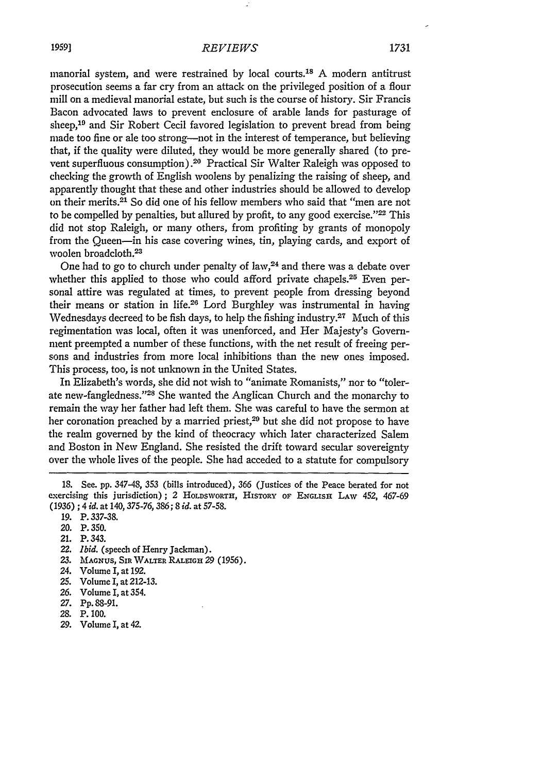manorial system, and were restrained **by** local courts."' **A** modern antitrust prosecution seems a far cry from an attack on the privileged position of a flour mill on a medieval manorial estate, but such is the course of history. Sir Francis Bacon advocated laws to prevent enclosure of arable lands for pasturage of sheep,<sup>19</sup> and Sir Robert Cecil favored legislation to prevent bread from being made too fine or ale too strong-not in the interest of temperance, but believing that, if the quality were diluted, they would be more generally shared (to prevent superfluous consumption).2o Practical Sir Walter Raleigh was opposed to checking the growth of English woolens **by** penalizing the raising of sheep, and apparently thought that these and other industries should be allowed to develop on their merits.21 So did one of his fellow members who said that "men are not to be compelled **by** penalties, but allured **by** profit, to any good exercise."'22 This did not stop Raleigh, or many others, from profiting **by** grants of monopoly from the Queen-in his case covering wines, tin, playing cards, and export of woolen broadcloth.<sup>23</sup>

One had to go to church under penalty of law, $24$  and there was a debate over whether this applied to those who could afford private chapels.<sup>25</sup> Even personal attire was regulated at times, to prevent people from dressing beyond their means or station in life.26 Lord Burghley was instrumental in having Wednesdays decreed to be fish days, to help the fishing industry.<sup>27</sup> Much of this regimentation **was** local, often it was unenforced, and Her Majesty's Government preempted a number of these functions, with the net result of freeing persons and industries from more local inhibitions than the new ones imposed. This process, too, is not unknown in the United States.

In Elizabeth's words, she did not wish to "animate Romanists," nor to "tolerate new-fangledness."<sup>28</sup> She wanted the Anglican Church and the monarchy to remain the way her father **had** left them. She was careful to have the sermon at her coronation preached **by** a married priest,29 but she did not propose to have the realm governed **by** the kind of theocracy which later characterized Salem and Boston in New England. She resisted the drift toward secular sovereignty over the whole lives of the people. She had acceded to a statute for compulsory

- 21. P. 343.
- 22. *Ibid.* (speech of Henry Jackman).
- **23. MAGNUS,** SIR **WALTER RALEIGH 29 (1956).**
- 24. Volume I, at 192.
- 25. Volume I, at 212-13.
- *26.* Volume I, at 354.
- *27.* Pp. 88-91.
- 28. P. 100.
- *29.* Volume I, at 42.

<sup>18.</sup> See. **pp.** 347-48, **353** (bills introduced), **366** (Justices of the Peace berated **for not exercising** this jurisdiction); **2 HOLDSWORTH, HISTORY OF ENGLISH** *LAW* 452, 467-69 **(1936)** ; 4 *id.* at **140,375-76, 386; 8** *id.* at **57-58.**

**<sup>19.</sup>** P. **337-38.**

<sup>20.</sup> P. **350.**